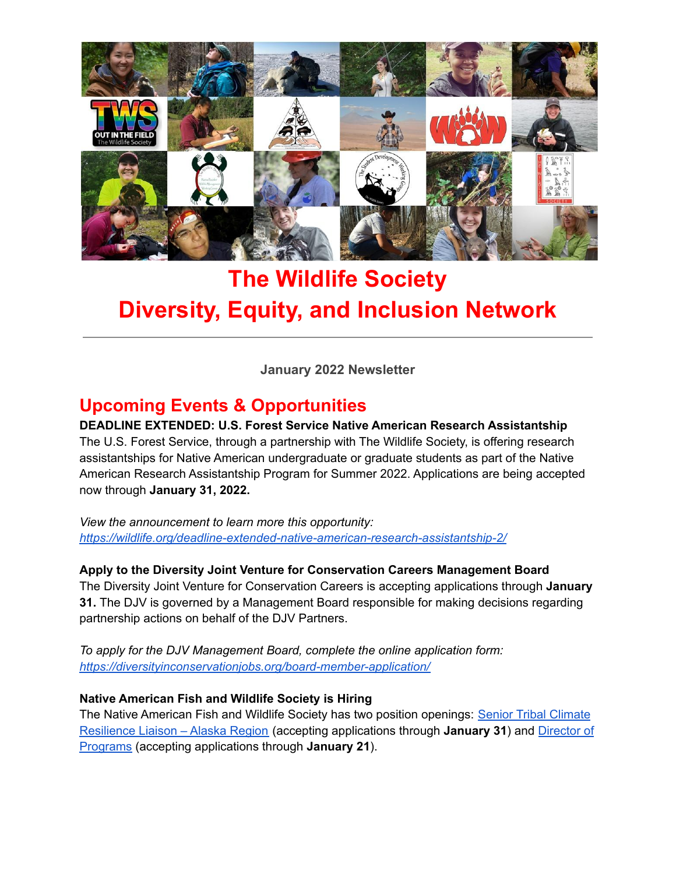

# **The Wildlife Society Diversity, Equity, and Inclusion Network**

**January 2022 Newsletter**

# **Upcoming Events & Opportunities**

**DEADLINE EXTENDED: U.S. Forest Service Native American Research Assistantship** The U.S. Forest Service, through a partnership with The Wildlife Society, is offering research assistantships for Native American undergraduate or graduate students as part of the Native American Research Assistantship Program for Summer 2022. Applications are being accepted now through **January 31, 2022.**

*View the announcement to learn more this opportunity: <https://wildlife.org/deadline-extended-native-american-research-assistantship-2/>*

**Apply to the Diversity Joint Venture for Conservation Careers Management Board** The Diversity Joint Venture for Conservation Careers is accepting applications through **January 31.** The DJV is governed by a Management Board responsible for making decisions regarding partnership actions on behalf of the DJV Partners.

*To apply for the DJV Management Board, complete the online application form: <https://diversityinconservationjobs.org/board-member-application/>*

#### **Native American Fish and Wildlife Society is Hiring**

The Native American Fish and Wildlife Society has two position openings: Senior Tribal [Climate](https://nafws.us7.list-manage.com/track/click?u=ddf077eea718e832a79cab8cb&id=737af05a2b&e=870375b6f3) [Resilience](https://nafws.us7.list-manage.com/track/click?u=ddf077eea718e832a79cab8cb&id=737af05a2b&e=870375b6f3) Liaison – Alaska Region (accepting applications through **January 31**) and [Director](https://nafws.us7.list-manage.com/track/click?u=ddf077eea718e832a79cab8cb&id=582ad6d12e&e=870375b6f3) of [Programs](https://nafws.us7.list-manage.com/track/click?u=ddf077eea718e832a79cab8cb&id=582ad6d12e&e=870375b6f3) (accepting applications through **January 21**).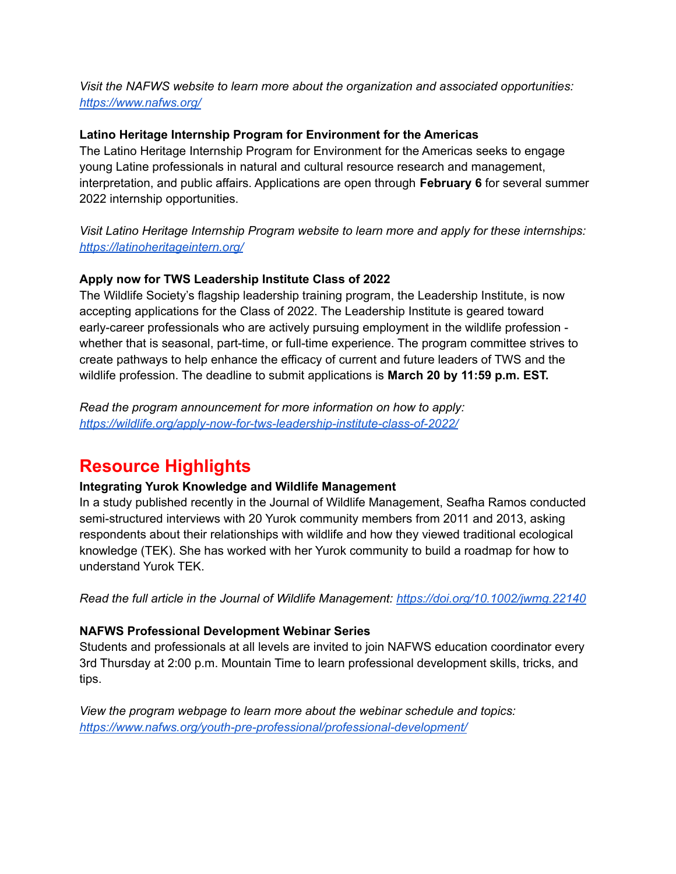*Visit the NAFWS website to learn more about the organization and associated opportunities: <https://www.nafws.org/>*

#### **Latino Heritage Internship Program for Environment for the Americas**

The Latino Heritage Internship Program for Environment for the Americas seeks to engage young Latine professionals in natural and cultural resource research and management, interpretation, and public affairs. Applications are open through **February 6** for several summer 2022 internship opportunities.

*Visit Latino Heritage Internship Program website to learn more and apply for these internships: <https://latinoheritageintern.org/>*

#### **Apply now for TWS Leadership Institute Class of 2022**

The Wildlife Society's flagship leadership training program, the Leadership Institute, is now accepting applications for the Class of 2022. The Leadership Institute is geared toward early-career professionals who are actively pursuing employment in the wildlife profession whether that is seasonal, part-time, or full-time experience. The program committee strives to create pathways to help enhance the efficacy of current and future leaders of TWS and the wildlife profession. The deadline to submit applications is **March 20 by 11:59 p.m. EST.**

*Read the program announcement for more information on how to apply: <https://wildlife.org/apply-now-for-tws-leadership-institute-class-of-2022/>*

### **Resource Highlights**

#### **Integrating Yurok Knowledge and Wildlife Management**

In a study published recently in the Journal of Wildlife Management, Seafha Ramos conducted semi-structured interviews with 20 Yurok community members from 2011 and 2013, asking respondents about their relationships with wildlife and how they viewed traditional ecological knowledge (TEK). She has worked with her Yurok community to build a roadmap for how to understand Yurok TEK.

*Read the full article in the Journal of Wildlife Management: <https://doi.org/10.1002/jwmg.22140>*

#### **NAFWS Professional Development Webinar Series**

Students and professionals at all levels are invited to join NAFWS education coordinator every 3rd Thursday at 2:00 p.m. Mountain Time to learn professional development skills, tricks, and tips.

*View the program webpage to learn more about the webinar schedule and topics: <https://www.nafws.org/youth-pre-professional/professional-development/>*